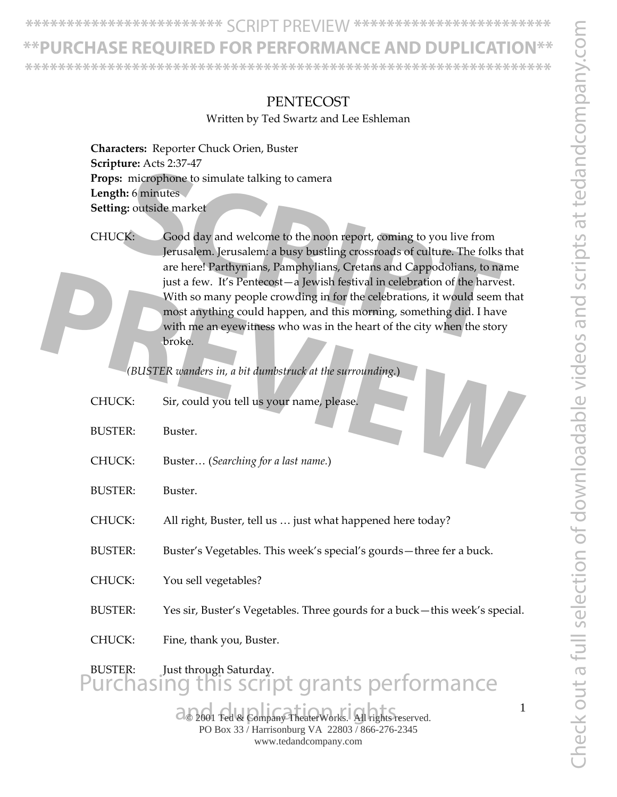**\*\*\*\*\*\*\*\*\*\*\*\*\*\*\*\*\*\*\*\*\*\*\*\*** SCRIPT PREVIEW **\*\*\*\*\*\*\*\*\*\*\*\*\*\*\*\*\*\*\*\*\*\*\*\***

### **\*\*PURCHASE REQUIRED FOR PERFORMANCE AND DUPLICATION\*\***

**\*\*\*\*\*\*\*\*\*\*\*\*\*\*\*\*\*\*\*\*\*\*\*\*\*\*\*\*\*\*\*\*\*\*\*\*\*\*\*\*\*\*\*\*\*\*\*\*\*\*\*\*\*\*\*\*\*\*\*\*\*\*\*\***

#### **PENTECOST**

Written by Ted Swartz and Lee Eshleman

**Characters:** Reporter Chuck Orien, Buster **Scripture:** Acts 2:37‐47 **Props:** microphone to simulate talking to camera **Length:** 6 minutes **Setting:** outside market

CHUCK: Good day and welcome to the noon report, coming to you live from Jerusalem. Jerusalem: a busy bustling crossroads of culture. The folks that are here! Parthynians, Pamphylians, Cretans and Cappodolians, to name just a few. It's Pentecost—a Jewish festival in celebration of the harvest. With so many people crowding in for the celebrations, it would seem that most anything could happen, and this morning, something did. I have with me an eyewitness who was in the heart of the city when the story broke. microphone to simulate talking to camera<br> **SEP 3:** outside market<br> **SCCC** is an and welcome to the noon report, coming to you live from<br>
Jerusalem. Jerusalem: a busy bustling crossroads of culture. The folks t<br>
are here! P

|                | just a few. It's Pentecost-a Jewish festival in celebration of the harvest.<br>With so many people crowding in for the celebrations, it would seem that<br>most anything could happen, and this morning, something did. I have<br>with me an eyewitness who was in the heart of the city when the story<br>broke.<br>(BUSTER wanders in, a bit dumbstruck at the surrounding.) |
|----------------|--------------------------------------------------------------------------------------------------------------------------------------------------------------------------------------------------------------------------------------------------------------------------------------------------------------------------------------------------------------------------------|
| CHUCK:         | Sir, could you tell us your name, please.                                                                                                                                                                                                                                                                                                                                      |
| <b>BUSTER:</b> | Buster.                                                                                                                                                                                                                                                                                                                                                                        |
| CHUCK:         | Buster (Searching for a last name.)                                                                                                                                                                                                                                                                                                                                            |
| <b>BUSTER:</b> | Buster.                                                                                                                                                                                                                                                                                                                                                                        |
| CHUCK:         | All right, Buster, tell us  just what happened here today?                                                                                                                                                                                                                                                                                                                     |
| <b>BUSTER:</b> | Buster's Vegetables. This week's special's gourds-three fer a buck.                                                                                                                                                                                                                                                                                                            |
| CHUCK:         | You sell vegetables?                                                                                                                                                                                                                                                                                                                                                           |
| <b>BUSTER:</b> | Yes sir, Buster's Vegetables. Three gourds for a buck-this week's special.                                                                                                                                                                                                                                                                                                     |
| CHUCK:         | Fine, thank you, Buster.                                                                                                                                                                                                                                                                                                                                                       |
|                | BUSTER: Just through Saturday.<br>Purchasing this script grants performance                                                                                                                                                                                                                                                                                                    |
|                |                                                                                                                                                                                                                                                                                                                                                                                |

2001 Ted & Company TheaterWorks. All rights reserved. PO Box 33 / Harrisonburg VA 22803 / 866-276-2345 www.tedandcompany.com

1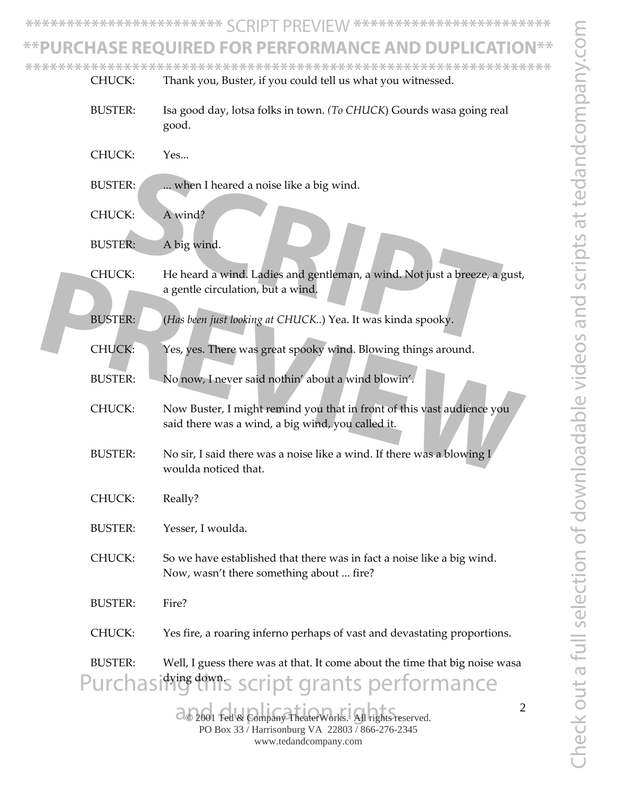Check out a full selection of downloadable videos and scripts at tedandcompany.com Theck out a full selection of downloadable videos and scripts at tedandcompany.coi

**\*\*\*\*\*\*\*\*\*\*\*\*\*\*\*\*\*\*\*\*\*\*\*\*** SCRIPT PREVIEW **\*\*\*\*\*\*\*\*\*\*\*\*\*\*\*\*\*\*\*\*\*\*\*\***

# **\*\*PURCHASE REQUIRED FOR PERFORMANCE AND DUPLICATION\*\***

**\*\*\*\*\*\*\*\*\*\*\*\*\*\*\*\*\*\*\*\*\*\*\*\*\*\*\*\*\*\*\*\*\*\*\*\*\*\*\*\*\*\*\*\*\*\*\*\*\*\*\*\*\*\*\*\*\*\*\*\*\*\*\*\***

2001 Ted & Company TheaterWorks. All rights reserved. PO Box 33 / Harrisonburg VA 22803 / 866-276-2345 www.tedandcompany.com 2 CHUCK: Thank you, Buster, if you could tell us what you witnessed. BUSTER: Isa good day, lotsa folks in town. *(To CHUCK*) Gourds wasa going real good. CHUCK: Yes... BUSTER: ... when I heared a noise like a big wind. CHUCK: A wind? BUSTER: A big wind. CHUCK: He heard a wind. Ladies and gentleman, a wind. Not just a breeze, a gust, a gentle circulation, but a wind. BUSTER: (*Has been just looking at CHUCK..*) Yea. It was kinda spooky. CHUCK: Yes, yes. There was great spooky wind. Blowing things around. BUSTER: No now, I never said nothin' about a wind blowin'. CHUCK: Now Buster, I might remind you that in front of this vast audience you said there was a wind, a big wind, you called it. BUSTER: No sir, I said there was a noise like a wind. If there was a blowing I woulda noticed that. CHUCK: Really? BUSTER: Yesser, I woulda. CHUCK: So we have established that there was in fact a noise like a big wind. Now, wasn't there something about ... fire? BUSTER: Fire? CHUCK: Yes fire, a roaring inferno perhaps of vast and devastating proportions. BUSTER: Well, I guess there was at that. It come about the time that big noise wasa dying down. ER:<br> **SCRIPT A wind?**<br>
SCR: A big wind.<br> **SCRIPT A wind:**<br>
THE heard a wind. Ladies and gentleman, a wind. Not just a breeze, a g<br>
a gentle circulation, but a wind.<br>
THE CHAP are a strategy of the strategy wind. Blowing th THUCK: He heard a wind. Ladies and gentleman, a wind. Not just a breeze, a gust,<br>a gentle circulation, but a wind.<br>BUSTER: (Has been just looking at CHUCK..) Yea. It was kinda spooky.<br>CHUCK: Yes, yes. There was great spook urchasiting this script grants performance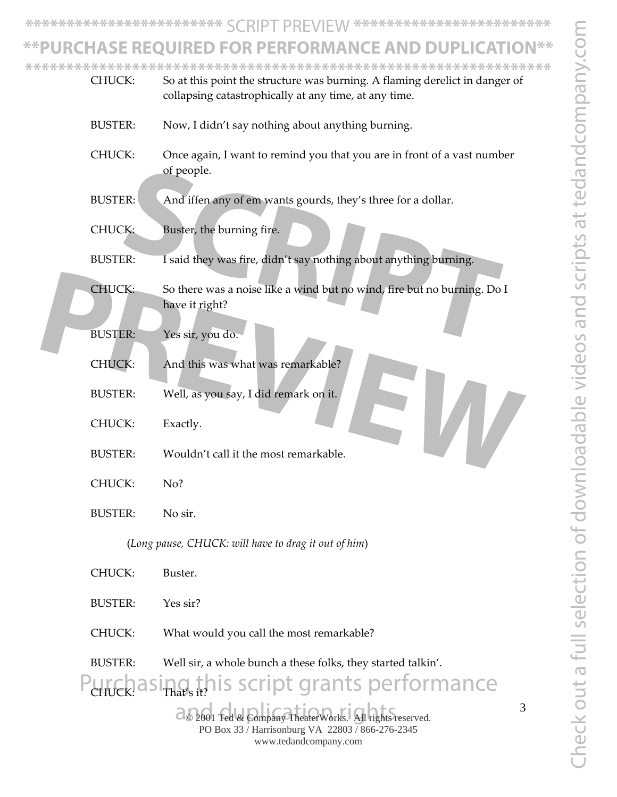3

**\*\*\*\*\*\*\*\*\*\*\*\*\*\*\*\*\*\*\*\*\*\*\*\*** SCRIPT PREVIEW **\*\*\*\*\*\*\*\*\*\*\*\*\*\*\*\*\*\*\*\*\*\*\*\***

### **\*\*PURCHASE REQUIRED FOR PERFORMANCE AND DUPLICATION\*\***

**\*\*\*\*\*\*\*\*\*\*\*\*\*\*\*\*\*\*\*\*\*\*\*\*\*\*\*\*\*\*\*\*\*\*\*\*\*\*\*\*\*\*\*\*\*\*\*\*\*\*\*\*\*\*\*\*\*\*\*\*\*\*\*\***

| CHUCK:         |                | So at this point the structure was burning. A flaming derelict in danger of<br>collapsing catastrophically at any time, at any time. |  |  |
|----------------|----------------|--------------------------------------------------------------------------------------------------------------------------------------|--|--|
|                | <b>BUSTER:</b> | Now, I didn't say nothing about anything burning.                                                                                    |  |  |
|                | CHUCK:         | Once again, I want to remind you that you are in front of a vast number<br>of people.                                                |  |  |
|                | <b>BUSTER:</b> | And iffen any of em wants gourds, they's three for a dollar.                                                                         |  |  |
|                | <b>CHUCK:</b>  | Buster, the burning fire.                                                                                                            |  |  |
| <b>BUSTER:</b> |                | I said they was fire, didn't say nothing about anything burning.                                                                     |  |  |
|                | CHUCK:         | So there was a noise like a wind but no wind, fire but no burning. Do I<br>have it right?                                            |  |  |
|                | <b>BUSTER:</b> | Yes sir, you do.                                                                                                                     |  |  |
|                | <b>CHUCK:</b>  | And this was what was remarkable?                                                                                                    |  |  |
|                | <b>BUSTER:</b> | Well, as you say, I did remark on it.                                                                                                |  |  |
|                | CHUCK:         | Exactly.                                                                                                                             |  |  |
|                | <b>BUSTER:</b> | Wouldn't call it the most remarkable.                                                                                                |  |  |
|                | CHUCK:         | No?                                                                                                                                  |  |  |
|                | <b>BUSTER:</b> | No sir.                                                                                                                              |  |  |
|                |                | (Long pause, CHUCK: will have to drag it out of him)                                                                                 |  |  |
|                | CHUCK:         | Buster.                                                                                                                              |  |  |
|                | <b>BUSTER:</b> | Yes sir?                                                                                                                             |  |  |
| CHUCK:         |                | What would you call the most remarkable?                                                                                             |  |  |
|                | <b>BUSTER:</b> | Well sir, a whole bunch a these folks, they started talkin'.                                                                         |  |  |
|                |                | this script grants performance                                                                                                       |  |  |

2001 Ted & Company TheaterWorks. All rights reserved. PO Box 33 / Harrisonburg VA 22803 / 866-276-2345 www.tedandcompany.com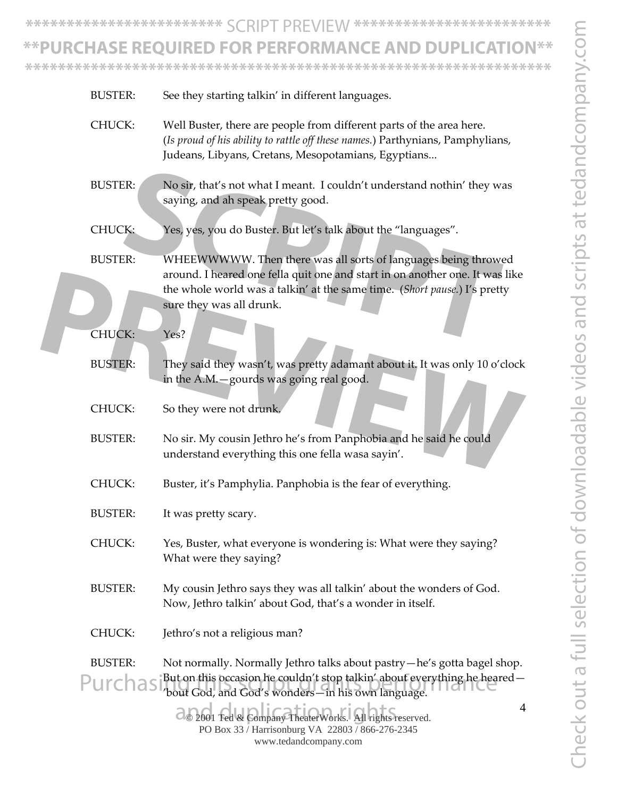**\*\*\*\*\*\*\*\*\*\*\*\*\*\*\*\*\*\*\*\*\*\*\*\*** SCRIPT PREVIEW **\*\*\*\*\*\*\*\*\*\*\*\*\*\*\*\*\*\*\*\*\*\*\*\***

# **\*\*PURCHASE REQUIRED FOR PERFORMANCE AND DUPLICATION\*\***

**\*\*\*\*\*\*\*\*\*\*\*\*\*\*\*\*\*\*\*\*\*\*\*\*\*\*\*\*\*\*\*\*\*\*\*\*\*\*\*\*\*\*\*\*\*\*\*\*\*\*\*\*\*\*\*\*\*\*\*\*\*\*\*\***

| <b>BUSTER:</b>            |                      | See they starting talkin' in different languages.                                                                                                                                                                                                       |
|---------------------------|----------------------|---------------------------------------------------------------------------------------------------------------------------------------------------------------------------------------------------------------------------------------------------------|
| CHUCK:                    |                      | Well Buster, there are people from different parts of the area here.<br>(Is proud of his ability to rattle off these names.) Parthynians, Pamphylians,<br>Judeans, Libyans, Cretans, Mesopotamians, Egyptians                                           |
| <b>BUSTER:</b>            |                      | No sir, that's not what I meant. I couldn't understand nothin' they was<br>saying, and ah speak pretty good.                                                                                                                                            |
| <b>CHUCK:</b>             |                      | Yes, yes, you do Buster. But let's talk about the "languages".                                                                                                                                                                                          |
| <b>BUSTER:</b>            |                      | WHEEWWWWW. Then there was all sorts of languages being throwed<br>around. I heared one fella quit one and start in on another one. It was like<br>the whole world was a talkin' at the same time. (Short pause.) I's pretty<br>sure they was all drunk. |
| <b>CHUCK:</b>             | Yes?                 |                                                                                                                                                                                                                                                         |
| <b>BUSTER:</b>            |                      | They said they wasn't, was pretty adamant about it. It was only 10 o'clock<br>in the A.M.-gourds was going real good.                                                                                                                                   |
| CHUCK:                    |                      | So they were not drunk.                                                                                                                                                                                                                                 |
| <b>BUSTER:</b>            |                      | No sir. My cousin Jethro he's from Panphobia and he said he could<br>understand everything this one fella wasa sayin'.                                                                                                                                  |
| <b>CHUCK:</b>             |                      | Buster, it's Pamphylia. Panphobia is the fear of everything.                                                                                                                                                                                            |
| <b>BUSTER:</b>            | It was pretty scary. |                                                                                                                                                                                                                                                         |
| CHUCK:                    |                      | Yes, Buster, what everyone is wondering is: What were they saying?<br>What were they saying?                                                                                                                                                            |
| <b>BUSTER:</b>            |                      | My cousin Jethro says they was all talkin' about the wonders of God.<br>Now, Jethro talkin' about God, that's a wonder in itself.                                                                                                                       |
| CHUCK:                    |                      | Jethro's not a religious man?                                                                                                                                                                                                                           |
| <b>BUSTER:</b><br>Purchas |                      | Not normally. Normally Jethro talks about pastry—he's gotta bagel shop.<br>But on this occasion he couldn't stop talkin' about everything he heared -<br>'bout God, and God's wonders-in his own language.                                              |
|                           |                      | 4<br>@ 2001 Ted & Company TheaterWorks. All rights reserved.<br>PO Box 33 / Harrisonburg VA 22803 / 866-276-2345<br>www.tedandcompany.com                                                                                                               |